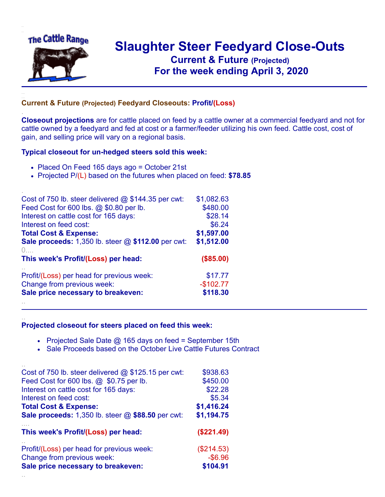

.

..

## **Slaughter Steer Feedyard Close-Outs Current & Future (Projected)** .**For the week ending April 3, 2020**

## **Current & Future (Projected) Feedyard Closeouts: Profit/(Loss)**

**Closeout projections** are for cattle placed on feed by a cattle owner at a commercial feedyard and not for cattle owned by a feedyard and fed at cost or a farmer/feeder utilizing his own feed. Cattle cost, cost of gain, and selling price will vary on a regional basis.

## **Typical closeout for un-hedged steers sold this week:**

- Placed On Feed 165 days ago = October 21st
- Projected P/(L) based on the futures when placed on feed: **\$78.85**

| Cost of 750 lb. steer delivered $@$ \$144.35 per cwt: | \$1,082.63 |
|-------------------------------------------------------|------------|
| Feed Cost for 600 lbs. @ \$0.80 per lb.               | \$480.00   |
| Interest on cattle cost for 165 days:                 | \$28.14    |
| Interest on feed cost:                                | \$6.24     |
| <b>Total Cost &amp; Expense:</b>                      | \$1,597.00 |
| Sale proceeds: 1,350 lb. steer @ \$112.00 per cwt:    | \$1,512.00 |
| (                                                     |            |
| This week's Profit/(Loss) per head:                   | (\$85.00)  |
| Profit/(Loss) per head for previous week:             | \$17.77    |
| Change from previous week:                            | $-$102.77$ |
|                                                       |            |
| Sale price necessary to breakeven:                    | \$118.30   |

## **Projected closeout for steers placed on feed this week:**

- Projected Sale Date  $@$  165 days on feed = September 15th
- Sale Proceeds based on the October Live Cattle Futures Contract

|                                                   | \$938.63   |
|---------------------------------------------------|------------|
| Feed Cost for 600 lbs. @ \$0.75 per lb.           | \$450.00   |
| Interest on cattle cost for 165 days:             | \$22.28    |
| Interest on feed cost:                            | \$5.34     |
| <b>Total Cost &amp; Expense:</b>                  | \$1,416.24 |
| Sale proceeds: 1,350 lb. steer @ \$88.50 per cwt: | \$1,194.75 |
| This week's Profit/(Loss) per head:               | (\$221.49) |
| Profit/(Loss) per head for previous week:         | (\$214.53) |
| Change from previous week:                        | $-$ \$6.96 |
| Sale price necessary to breakeven:                | \$104.91   |